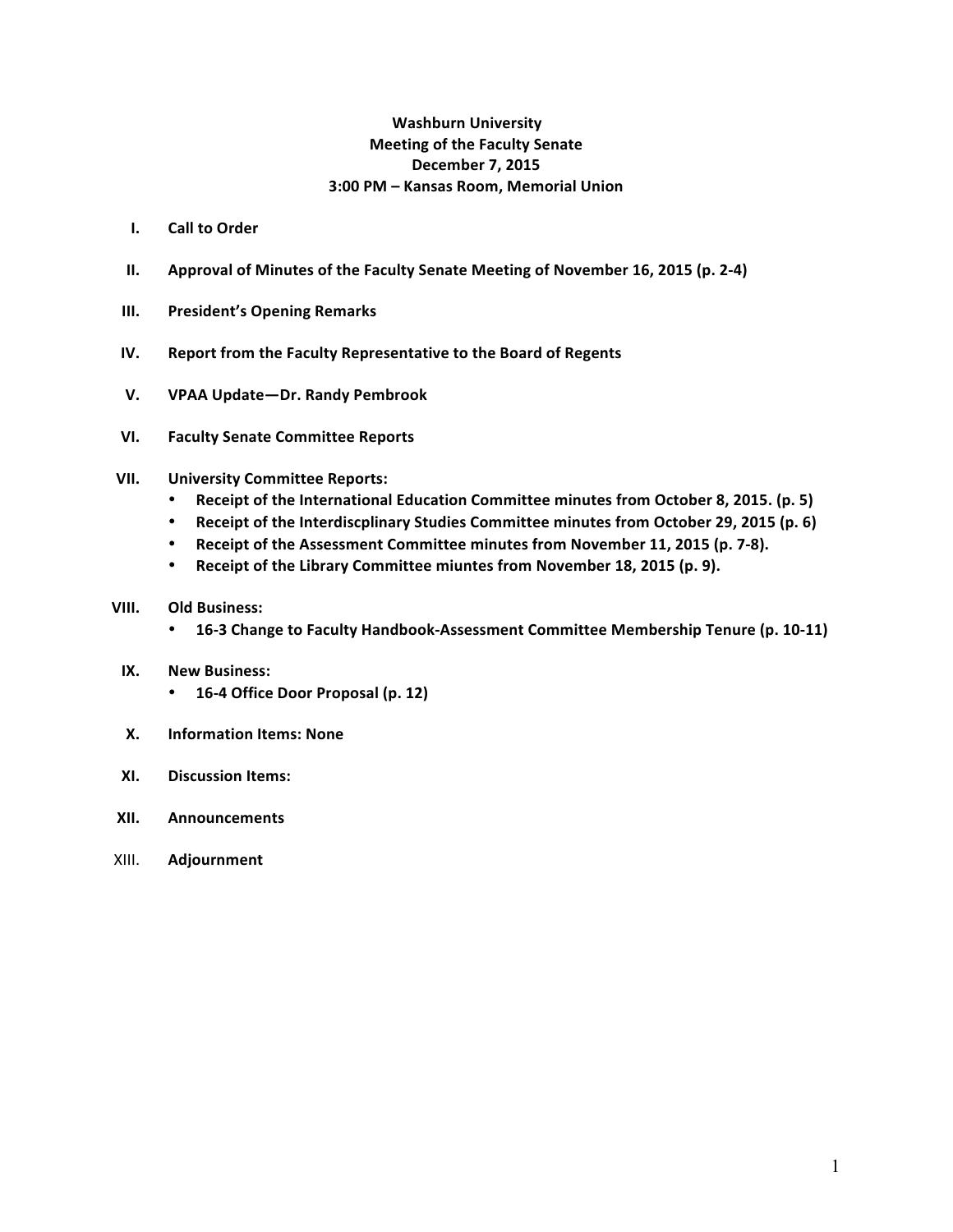## **Washburn University Meeting of the Faculty Senate December 7, 2015 3:00 PM – Kansas Room, Memorial Union**

- **I.** Call to Order
- **II.** Approval of Minutes of the Faculty Senate Meeting of November 16, 2015 (p. 2-4)
- **III.** President's Opening Remarks
- **IV.** Report from the Faculty Representative to the Board of Regents
- **V. VPAA Update—Dr. Randy Pembrook**
- **VI. Faculty Senate Committee Reports**

## **VII. University Committee Reports:**

- Receipt of the International Education Committee minutes from October 8, 2015. (p. 5)
- Receipt of the Interdiscplinary Studies Committee minutes from October 29, 2015 (p. 6)
- Receipt of the Assessment Committee minutes from November 11, 2015 (p. 7-8).
- Receipt of the Library Committee miuntes from November 18, 2015 (p. 9).

## **VIII.** Old Business:

• 16-3 Change to Faculty Handbook-Assessment Committee Membership Tenure (p. 10-11)

#### **IX. New Business:**

- **16-4 Office Door Proposal (p. 12)**
- **X. Information Items: None**
- **XI. Discussion Items:**
- **XII. Announcements**
- XIII. **Adjournment**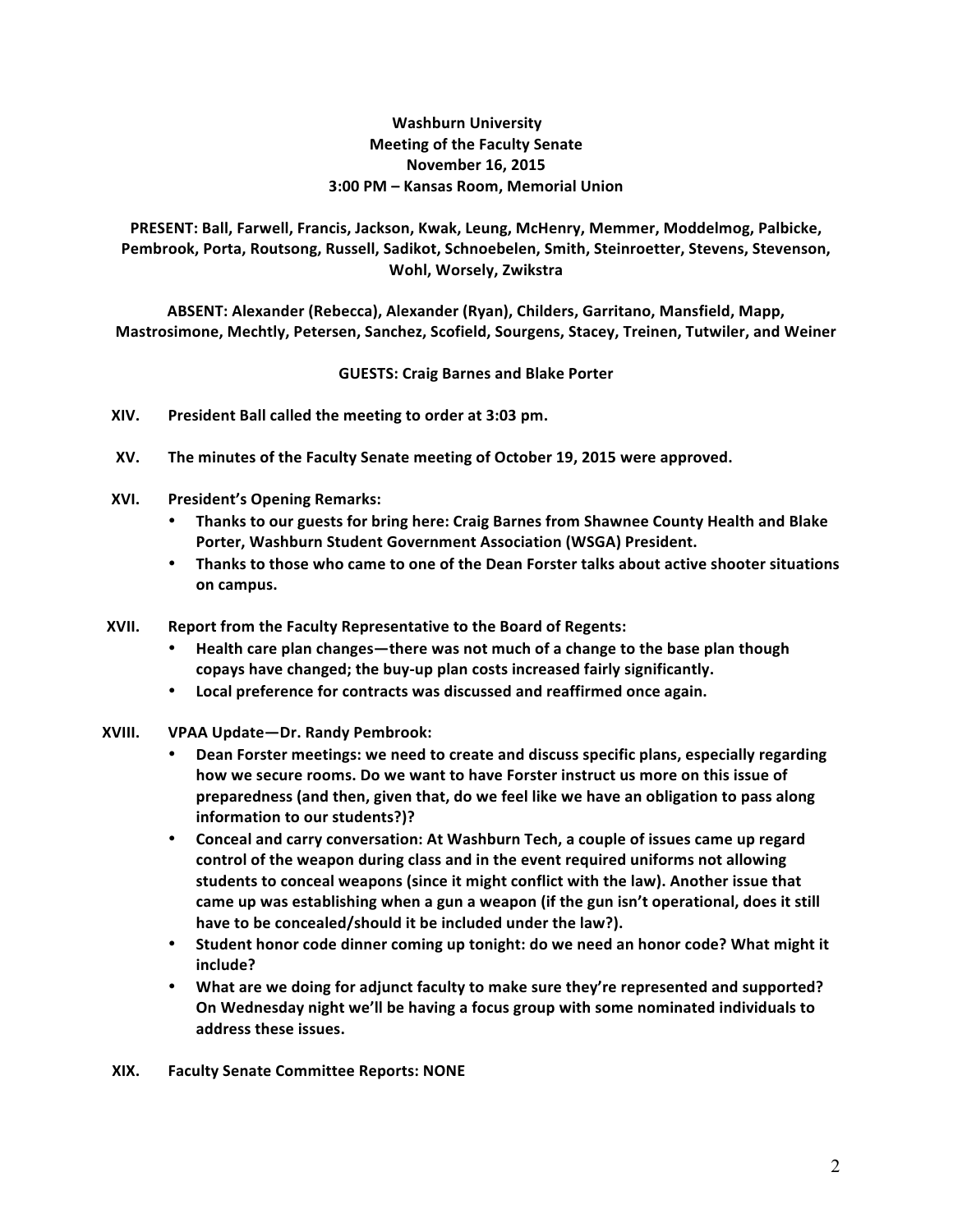## **Washburn University Meeting of the Faculty Senate November 16, 2015 3:00 PM – Kansas Room, Memorial Union**

PRESENT: Ball, Farwell, Francis, Jackson, Kwak, Leung, McHenry, Memmer, Moddelmog, Palbicke, Pembrook, Porta, Routsong, Russell, Sadikot, Schnoebelen, Smith, Steinroetter, Stevens, Stevenson, **Wohl, Worsely, Zwikstra**

ABSENT: Alexander (Rebecca), Alexander (Ryan), Childers, Garritano, Mansfield, Mapp, Mastrosimone, Mechtly, Petersen, Sanchez, Scofield, Sourgens, Stacey, Treinen, Tutwiler, and Weiner

## **GUESTS: Craig Barnes and Blake Porter**

- **XIV. President Ball called the meeting to order at 3:03 pm.**
- XV. The minutes of the Faculty Senate meeting of October 19, 2015 were approved.
- **XVI.** President's Opening Remarks:
	- Thanks to our guests for bring here: Craig Barnes from Shawnee County Health and Blake **Porter, Washburn Student Government Association (WSGA) President.**
	- Thanks to those who came to one of the Dean Forster talks about active shooter situations **on campus.**
- **XVII.** Report from the Faculty Representative to the Board of Regents:
	- Health care plan changes—there was not much of a change to the base plan though copays have changed; the buy-up plan costs increased fairly significantly.
	- Local preference for contracts was discussed and reaffirmed once again.
- **XVIII. VPAA Update—Dr. Randy Pembrook:**
	- **Dean Forster meetings: we need to create and discuss specific plans, especially regarding** how we secure rooms. Do we want to have Forster instruct us more on this issue of preparedness (and then, given that, do we feel like we have an obligation to pass along **information to our students?)?**
	- Conceal and carry conversation: At Washburn Tech, a couple of issues came up regard control of the weapon during class and in the event required uniforms not allowing students to conceal weapons (since it might conflict with the law). Another issue that came up was establishing when a gun a weapon (if the gun isn't operational, does it still have to be concealed/should it be included under the law?).
	- Student honor code dinner coming up tonight: do we need an honor code? What might it **include?**
	- What are we doing for adjunct faculty to make sure they're represented and supported? On Wednesday night we'll be having a focus group with some nominated individuals to address these issues.
	- **XIX. Faculty Senate Committee Reports: NONE**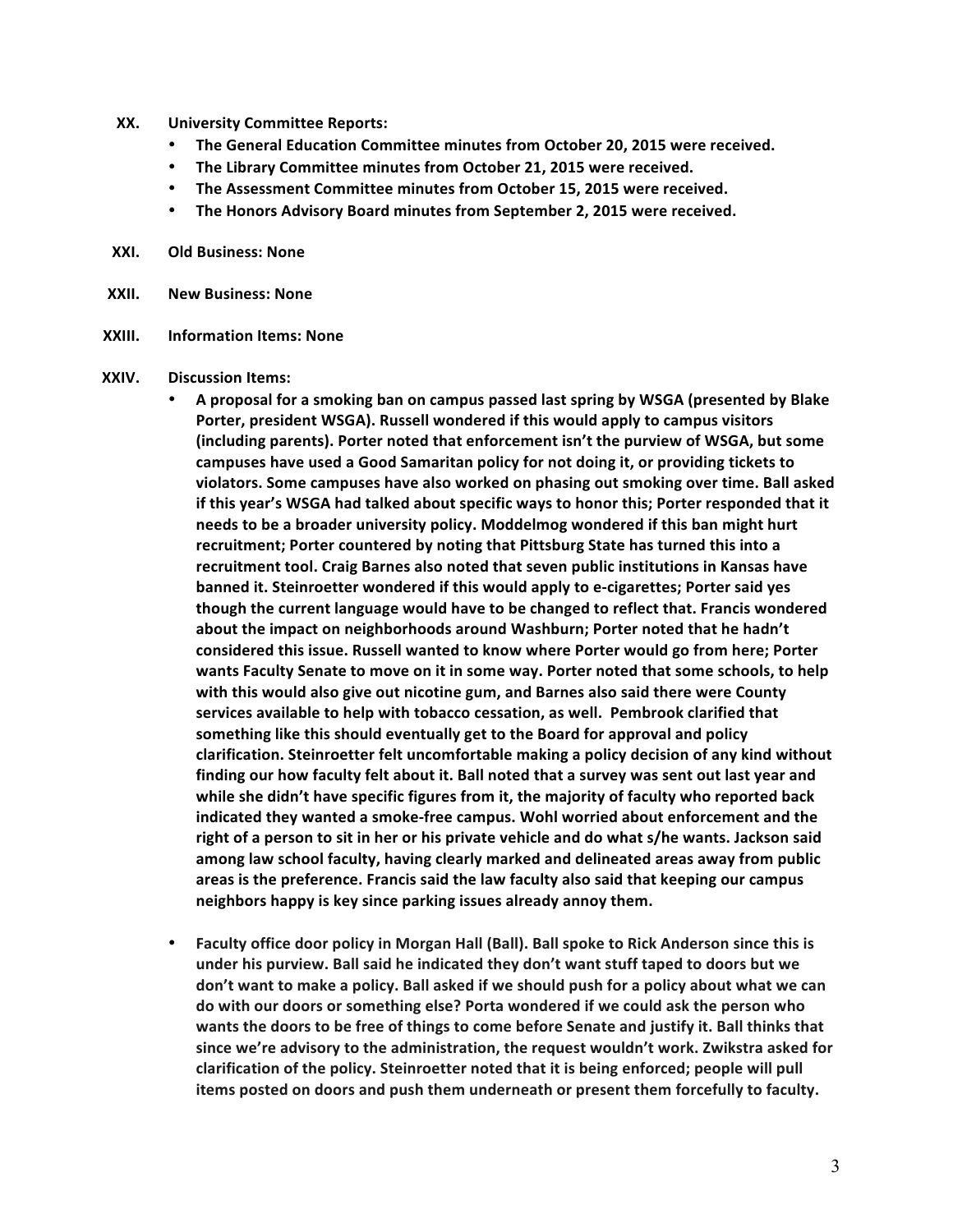- **XX. University Committee Reports:**
	- The General Education Committee minutes from October 20, 2015 were received.
	- The Library Committee minutes from October 21, 2015 were received.
	- The Assessment Committee minutes from October 15, 2015 were received.
	- The Honors Advisory Board minutes from September 2, 2015 were received.
- **XXI. Old Business: None**
- **XXII. New Business: None**
- **XXIII. Information Items: None**
- **XXIV. Discussion Items:**
	- A proposal for a smoking ban on campus passed last spring by WSGA (presented by Blake Porter, president WSGA). Russell wondered if this would apply to campus visitors (including parents). Porter noted that enforcement isn't the purview of WSGA, but some campuses have used a Good Samaritan policy for not doing it, or providing tickets to violators. Some campuses have also worked on phasing out smoking over time. Ball asked if this year's WSGA had talked about specific ways to honor this; Porter responded that it needs to be a broader university policy. Moddelmog wondered if this ban might hurt recruitment; Porter countered by noting that Pittsburg State has turned this into a recruitment tool. Craig Barnes also noted that seven public institutions in Kansas have **banned it. Steinroetter wondered if this would apply to e-cigarettes; Porter said yes** though the current language would have to be changed to reflect that. Francis wondered about the impact on neighborhoods around Washburn; Porter noted that he hadn't considered this issue. Russell wanted to know where Porter would go from here; Porter wants Faculty Senate to move on it in some way. Porter noted that some schools, to help with this would also give out nicotine gum, and Barnes also said there were County services available to help with tobacco cessation, as well. Pembrook clarified that something like this should eventually get to the Board for approval and policy clarification. Steinroetter felt uncomfortable making a policy decision of any kind without finding our how faculty felt about it. Ball noted that a survey was sent out last year and while she didn't have specific figures from it, the majority of faculty who reported back indicated they wanted a smoke-free campus. Wohl worried about enforcement and the right of a person to sit in her or his private vehicle and do what s/he wants. Jackson said among law school faculty, having clearly marked and delineated areas away from public areas is the preference. Francis said the law faculty also said that keeping our campus neighbors happy is key since parking issues already annoy them.
	- Faculty office door policy in Morgan Hall (Ball). Ball spoke to Rick Anderson since this is under his purview. Ball said he indicated they don't want stuff taped to doors but we don't want to make a policy. Ball asked if we should push for a policy about what we can do with our doors or something else? Porta wondered if we could ask the person who wants the doors to be free of things to come before Senate and justify it. Ball thinks that since we're advisory to the administration, the request wouldn't work. Zwikstra asked for clarification of the policy. Steinroetter noted that it is being enforced; people will pull items posted on doors and push them underneath or present them forcefully to faculty.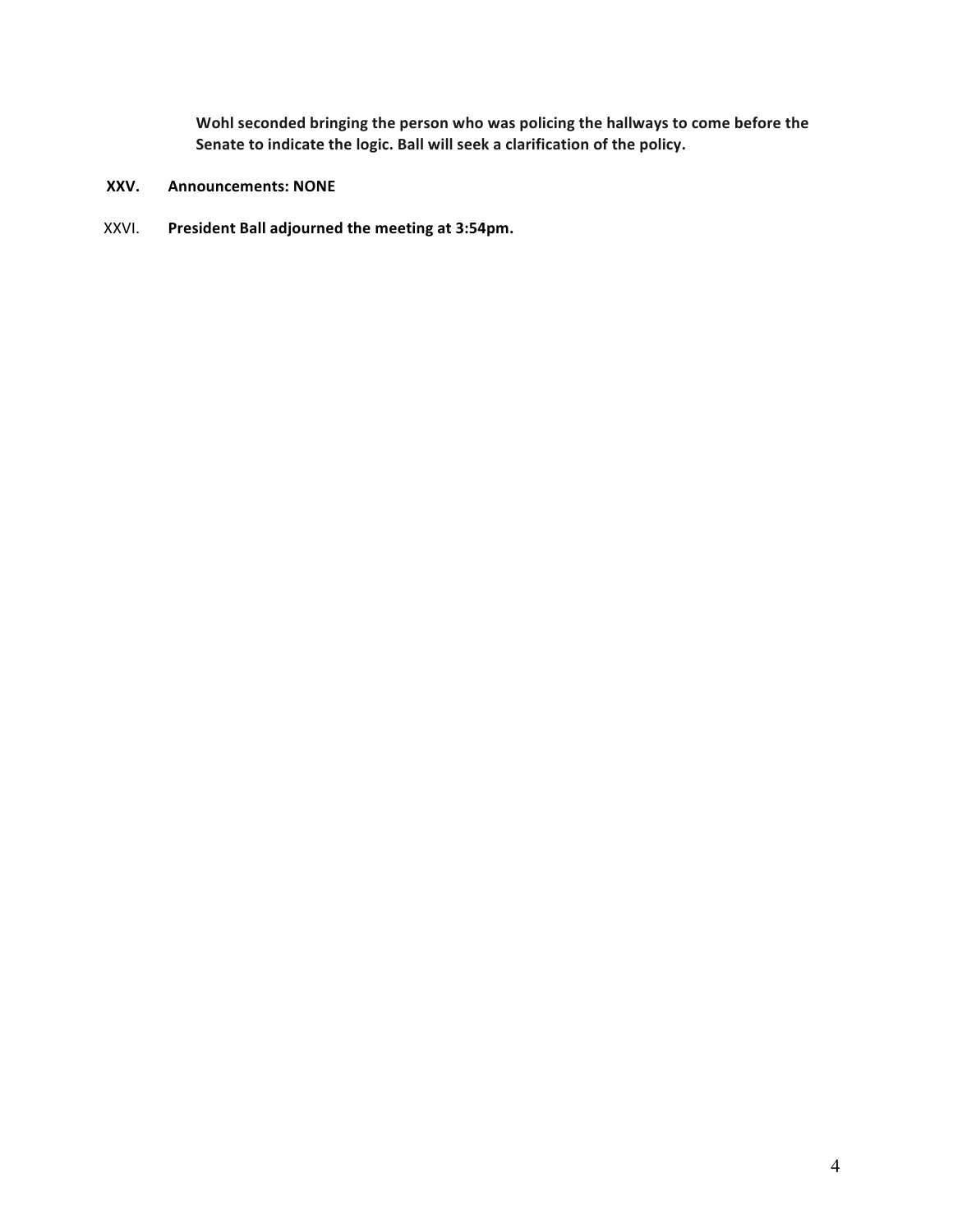Wohl seconded bringing the person who was policing the hallways to come before the Senate to indicate the logic. Ball will seek a clarification of the policy.

- **XXV. Announcements: NONE**
- XXVI. President Ball adjourned the meeting at 3:54pm.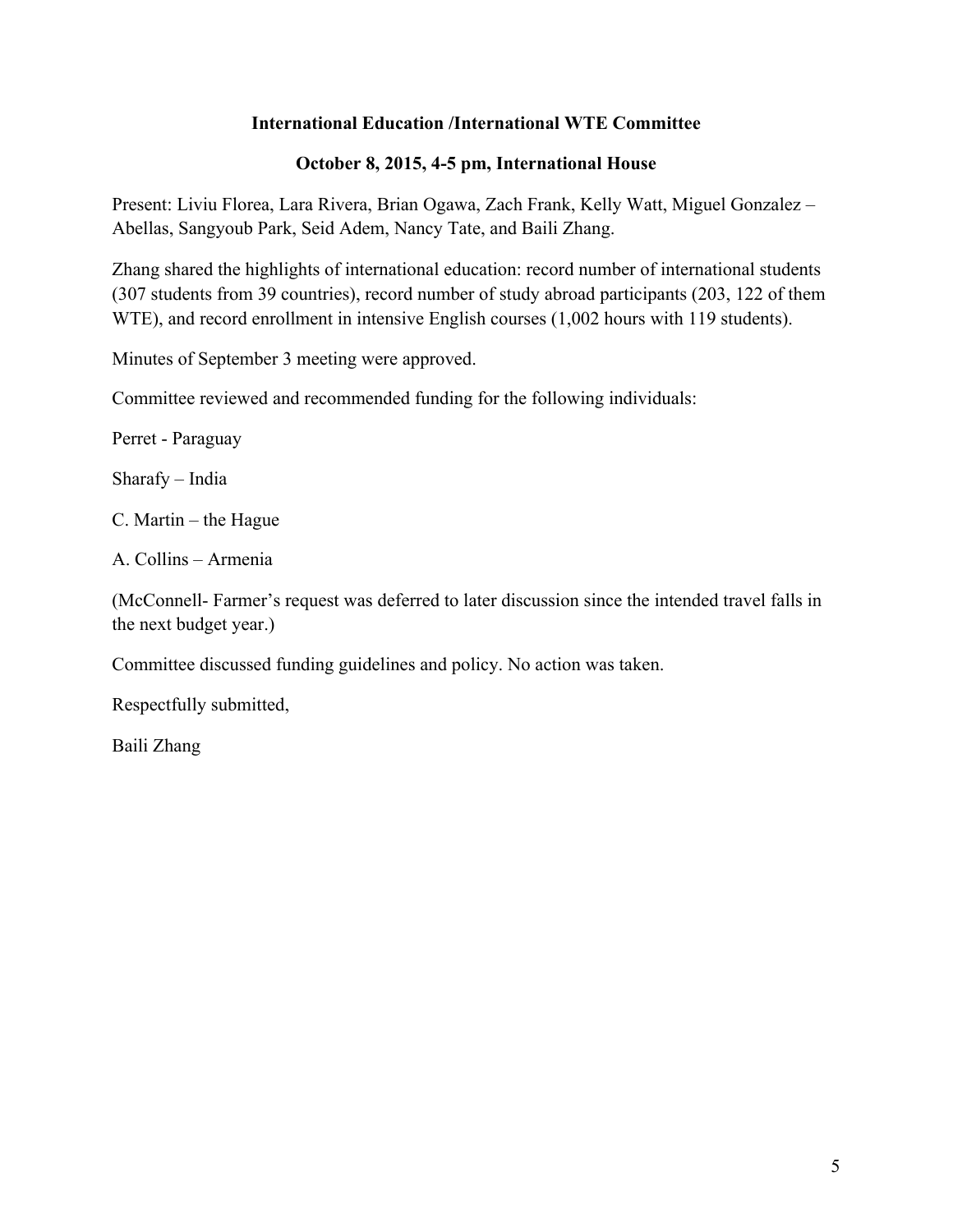## **International Education /International WTE Committee**

## **October 8, 2015, 4-5 pm, International House**

Present: Liviu Florea, Lara Rivera, Brian Ogawa, Zach Frank, Kelly Watt, Miguel Gonzalez – Abellas, Sangyoub Park, Seid Adem, Nancy Tate, and Baili Zhang.

Zhang shared the highlights of international education: record number of international students (307 students from 39 countries), record number of study abroad participants (203, 122 of them WTE), and record enrollment in intensive English courses (1,002 hours with 119 students).

Minutes of September 3 meeting were approved.

Committee reviewed and recommended funding for the following individuals:

Perret - Paraguay

Sharafy – India

C. Martin – the Hague

A. Collins – Armenia

(McConnell- Farmer's request was deferred to later discussion since the intended travel falls in the next budget year.)

Committee discussed funding guidelines and policy. No action was taken.

Respectfully submitted,

Baili Zhang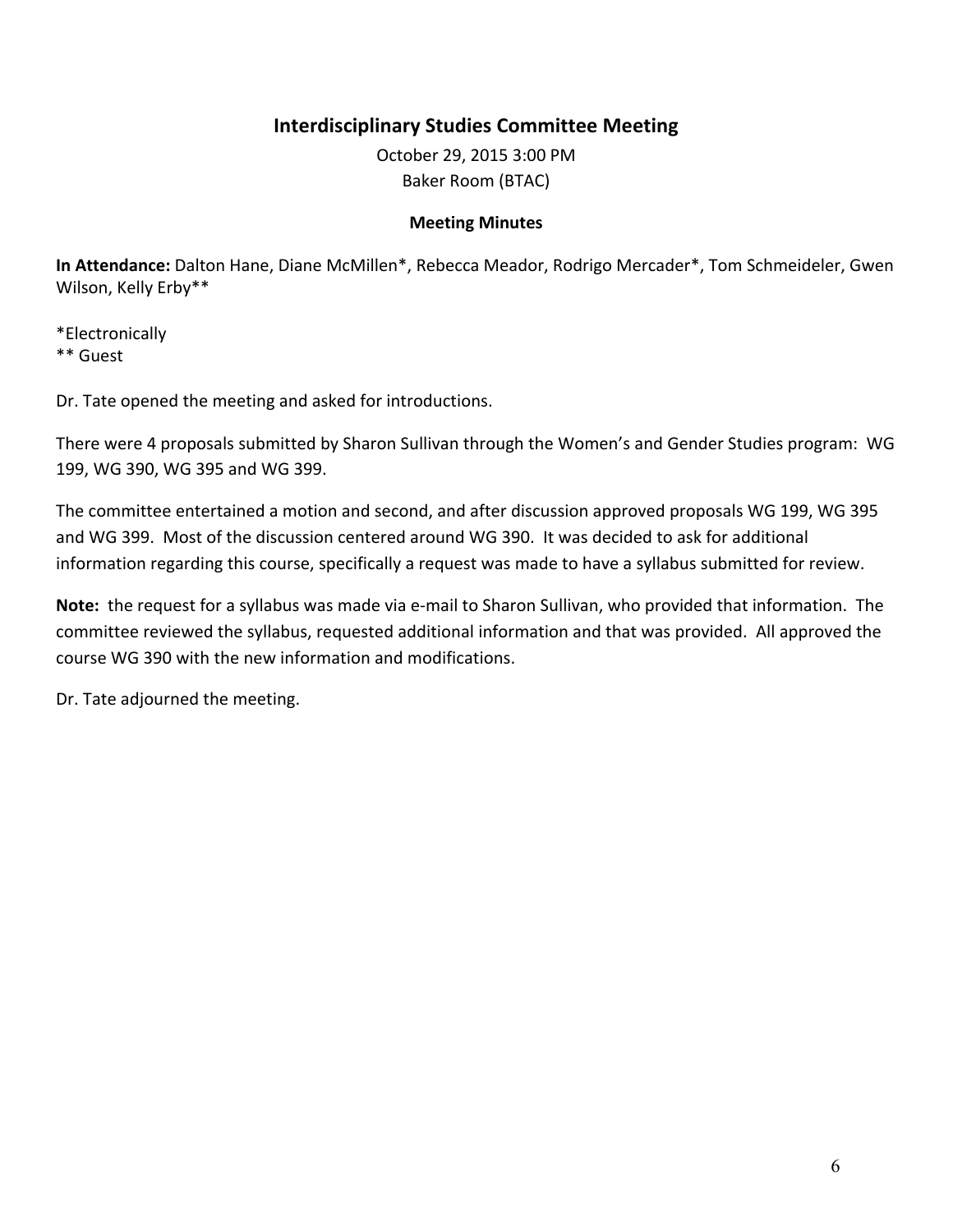# **Interdisciplinary Studies Committee Meeting**

October 29, 2015 3:00 PM Baker Room (BTAC)

## **Meeting Minutes**

In Attendance: Dalton Hane, Diane McMillen<sup>\*</sup>, Rebecca Meador, Rodrigo Mercader<sup>\*</sup>, Tom Schmeideler, Gwen Wilson, Kelly Erby\*\*

\*Electronically \*\* Guest

Dr. Tate opened the meeting and asked for introductions.

There were 4 proposals submitted by Sharon Sullivan through the Women's and Gender Studies program: WG 199, WG 390, WG 395 and WG 399.

The committee entertained a motion and second, and after discussion approved proposals WG 199, WG 395 and WG 399. Most of the discussion centered around WG 390. It was decided to ask for additional information regarding this course, specifically a request was made to have a syllabus submitted for review.

**Note:** the request for a syllabus was made via e-mail to Sharon Sullivan, who provided that information. The committee reviewed the syllabus, requested additional information and that was provided. All approved the course WG 390 with the new information and modifications.

Dr. Tate adjourned the meeting.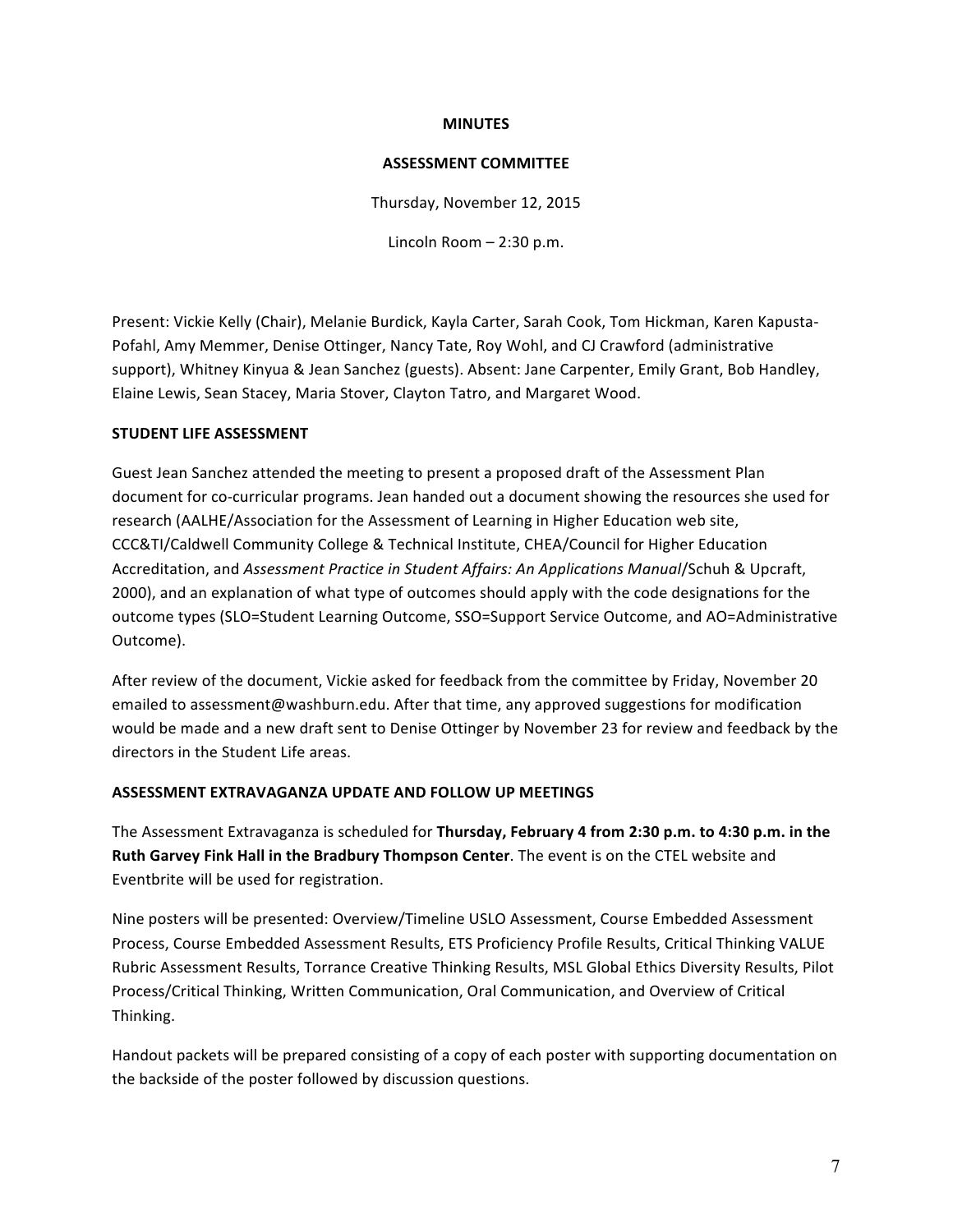#### **MINUTES**

## **ASSESSMENT COMMITTEE**

Thursday, November 12, 2015

Lincoln Room  $- 2:30$  p.m.

Present: Vickie Kelly (Chair), Melanie Burdick, Kayla Carter, Sarah Cook, Tom Hickman, Karen Kapusta-Pofahl, Amy Memmer, Denise Ottinger, Nancy Tate, Roy Wohl, and CJ Crawford (administrative support), Whitney Kinyua & Jean Sanchez (guests). Absent: Jane Carpenter, Emily Grant, Bob Handley, Elaine Lewis, Sean Stacey, Maria Stover, Clayton Tatro, and Margaret Wood.

## **STUDENT LIFE ASSESSMENT**

Guest Jean Sanchez attended the meeting to present a proposed draft of the Assessment Plan document for co-curricular programs. Jean handed out a document showing the resources she used for research (AALHE/Association for the Assessment of Learning in Higher Education web site, CCC&TI/Caldwell Community College & Technical Institute, CHEA/Council for Higher Education Accreditation, and Assessment Practice in Student Affairs: An Applications Manual/Schuh & Upcraft, 2000), and an explanation of what type of outcomes should apply with the code designations for the outcome types (SLO=Student Learning Outcome, SSO=Support Service Outcome, and AO=Administrative Outcome).

After review of the document, Vickie asked for feedback from the committee by Friday, November 20 emailed to assessment@washburn.edu. After that time, any approved suggestions for modification would be made and a new draft sent to Denise Ottinger by November 23 for review and feedback by the directors in the Student Life areas.

## **ASSESSMENT EXTRAVAGANZA UPDATE AND FOLLOW UP MEETINGS**

The Assessment Extravaganza is scheduled for **Thursday, February 4 from 2:30 p.m. to 4:30 p.m. in the Ruth Garvey Fink Hall in the Bradbury Thompson Center**. The event is on the CTEL website and Eventbrite will be used for registration.

Nine posters will be presented: Overview/Timeline USLO Assessment, Course Embedded Assessment Process, Course Embedded Assessment Results, ETS Proficiency Profile Results, Critical Thinking VALUE Rubric Assessment Results, Torrance Creative Thinking Results, MSL Global Ethics Diversity Results, Pilot Process/Critical Thinking, Written Communication, Oral Communication, and Overview of Critical Thinking.

Handout packets will be prepared consisting of a copy of each poster with supporting documentation on the backside of the poster followed by discussion questions.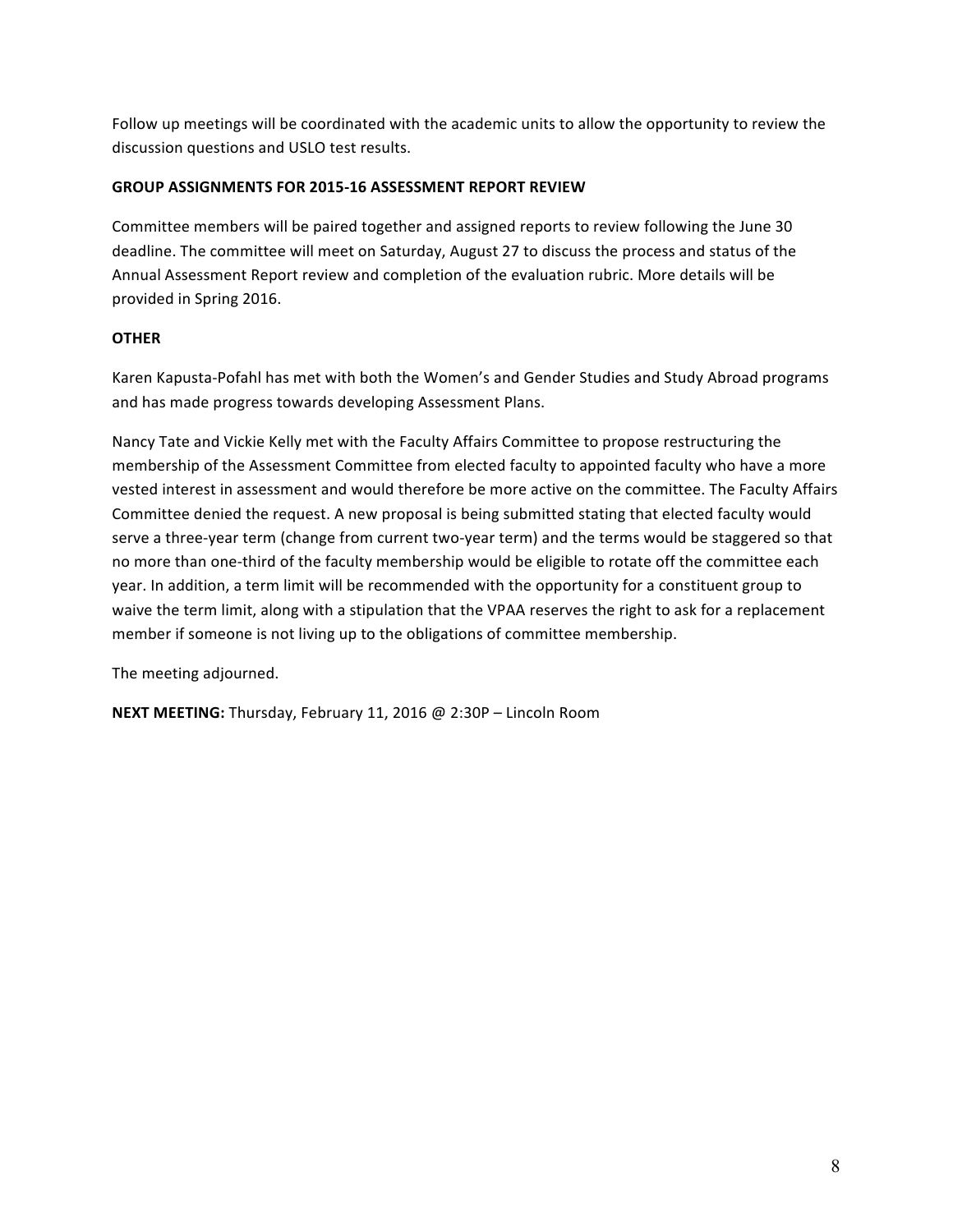Follow up meetings will be coordinated with the academic units to allow the opportunity to review the discussion questions and USLO test results.

## **GROUP ASSIGNMENTS FOR 2015-16 ASSESSMENT REPORT REVIEW**

Committee members will be paired together and assigned reports to review following the June 30 deadline. The committee will meet on Saturday, August 27 to discuss the process and status of the Annual Assessment Report review and completion of the evaluation rubric. More details will be provided in Spring 2016.

## **OTHER**

Karen Kapusta-Pofahl has met with both the Women's and Gender Studies and Study Abroad programs and has made progress towards developing Assessment Plans.

Nancy Tate and Vickie Kelly met with the Faculty Affairs Committee to propose restructuring the membership of the Assessment Committee from elected faculty to appointed faculty who have a more vested interest in assessment and would therefore be more active on the committee. The Faculty Affairs Committee denied the request. A new proposal is being submitted stating that elected faculty would serve a three-year term (change from current two-year term) and the terms would be staggered so that no more than one-third of the faculty membership would be eligible to rotate off the committee each year. In addition, a term limit will be recommended with the opportunity for a constituent group to waive the term limit, along with a stipulation that the VPAA reserves the right to ask for a replacement member if someone is not living up to the obligations of committee membership.

The meeting adjourned.

**NEXT MEETING:** Thursday, February 11, 2016 @ 2:30P – Lincoln Room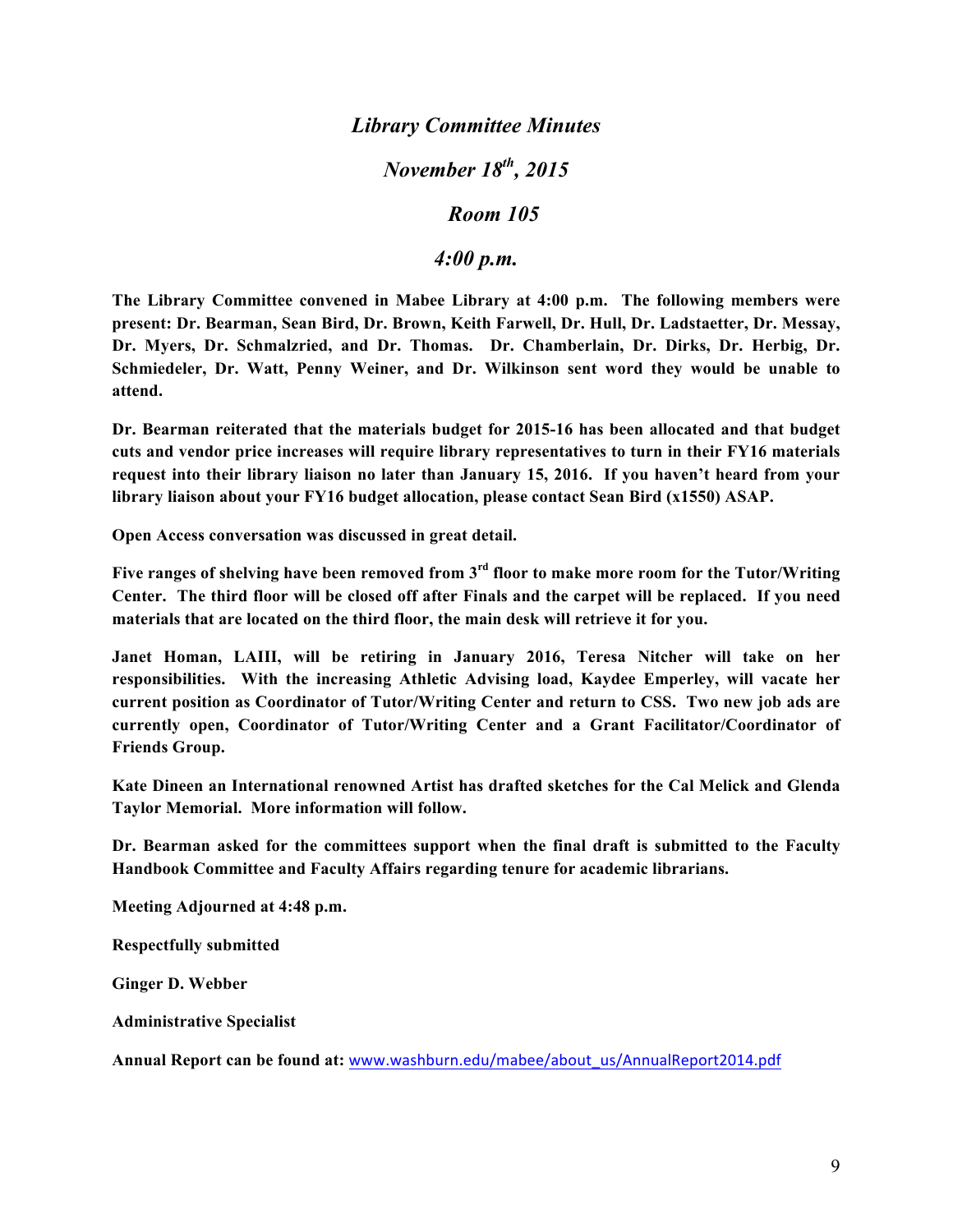## *Library Committee Minutes*

# *November 18th, 2015*

## *Room 105*

## *4:00 p.m.*

**The Library Committee convened in Mabee Library at 4:00 p.m. The following members were present: Dr. Bearman, Sean Bird, Dr. Brown, Keith Farwell, Dr. Hull, Dr. Ladstaetter, Dr. Messay, Dr. Myers, Dr. Schmalzried, and Dr. Thomas. Dr. Chamberlain, Dr. Dirks, Dr. Herbig, Dr. Schmiedeler, Dr. Watt, Penny Weiner, and Dr. Wilkinson sent word they would be unable to attend.**

**Dr. Bearman reiterated that the materials budget for 2015-16 has been allocated and that budget cuts and vendor price increases will require library representatives to turn in their FY16 materials request into their library liaison no later than January 15, 2016. If you haven't heard from your library liaison about your FY16 budget allocation, please contact Sean Bird (x1550) ASAP.** 

**Open Access conversation was discussed in great detail.**

**Five ranges of shelving have been removed from 3rd floor to make more room for the Tutor/Writing Center. The third floor will be closed off after Finals and the carpet will be replaced. If you need materials that are located on the third floor, the main desk will retrieve it for you.** 

**Janet Homan, LAIII, will be retiring in January 2016, Teresa Nitcher will take on her responsibilities. With the increasing Athletic Advising load, Kaydee Emperley, will vacate her current position as Coordinator of Tutor/Writing Center and return to CSS. Two new job ads are currently open, Coordinator of Tutor/Writing Center and a Grant Facilitator/Coordinator of Friends Group.** 

**Kate Dineen an International renowned Artist has drafted sketches for the Cal Melick and Glenda Taylor Memorial. More information will follow.**

**Dr. Bearman asked for the committees support when the final draft is submitted to the Faculty Handbook Committee and Faculty Affairs regarding tenure for academic librarians.** 

**Meeting Adjourned at 4:48 p.m.**

**Respectfully submitted**

**Ginger D. Webber**

**Administrative Specialist**

**Annual Report can be found at:** www.washburn.edu/mabee/about\_us/AnnualReport2014.pdf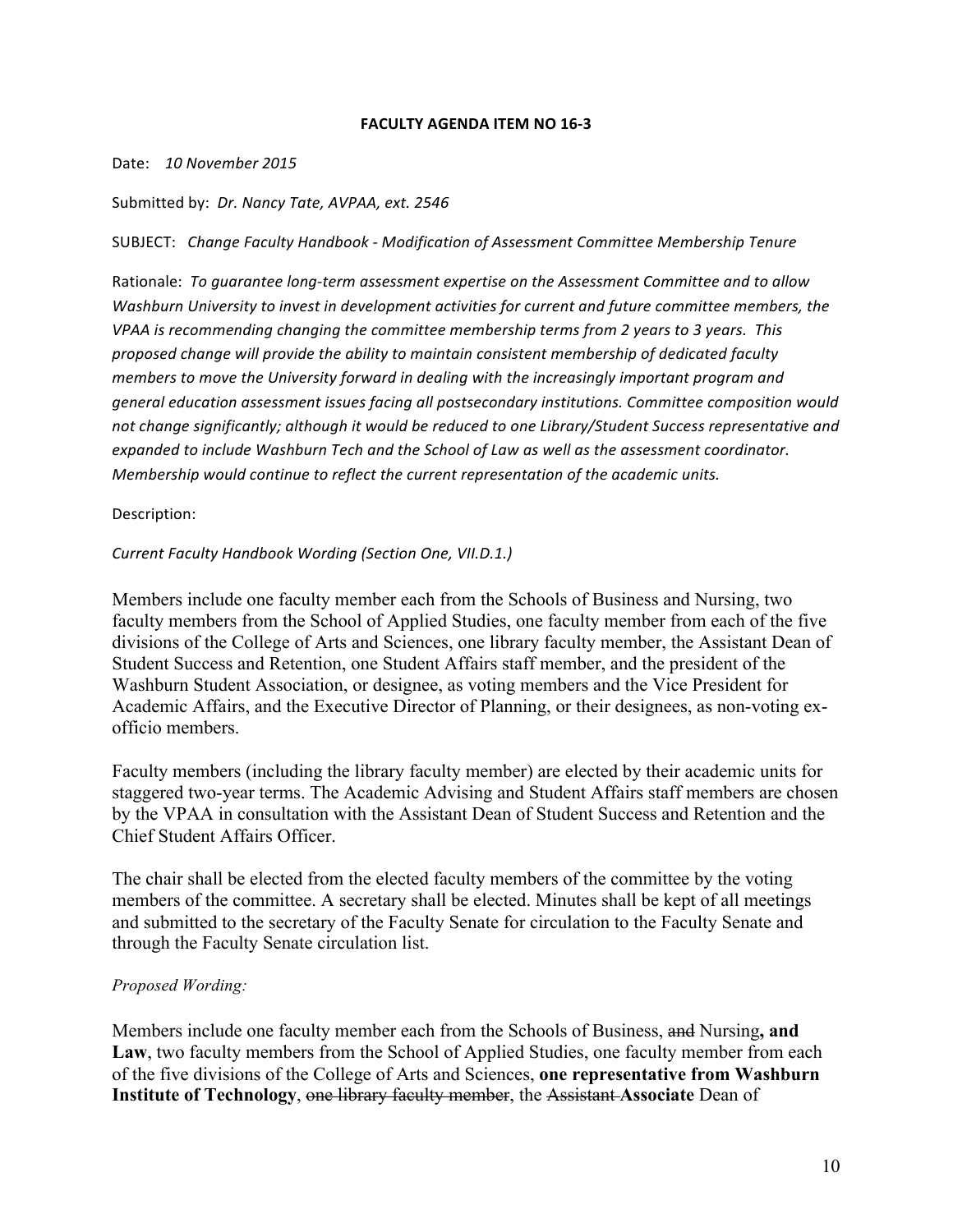## **FACULTY AGENDA ITEM NO 16-3**

#### Date: 10 November 2015

## Submitted by: *Dr. Nancy Tate, AVPAA, ext. 2546*

SUBJECT: *Change Faculty Handbook - Modification of Assessment Committee Membership Tenure*

Rationale: To guarantee long-term assessment expertise on the Assessment Committee and to allow *Washburn University to invest in development activities for current and future committee members, the VPAA* is recommending changing the committee membership terms from 2 years to 3 years. This proposed change will provide the ability to maintain consistent membership of dedicated faculty *members* to move the University forward in dealing with the increasingly important program and general education assessment issues facing all postsecondary institutions. Committee composition would not change significantly; although it would be reduced to one Library/Student Success representative and expanded to include Washburn Tech and the School of Law as well as the assessment coordinator. *Membership* would continue to reflect the current representation of the academic units.

## Description:

## **Current Faculty Handbook Wording (Section One, VII.D.1.)**

Members include one faculty member each from the Schools of Business and Nursing, two faculty members from the School of Applied Studies, one faculty member from each of the five divisions of the College of Arts and Sciences, one library faculty member, the Assistant Dean of Student Success and Retention, one Student Affairs staff member, and the president of the Washburn Student Association, or designee, as voting members and the Vice President for Academic Affairs, and the Executive Director of Planning, or their designees, as non-voting exofficio members.

Faculty members (including the library faculty member) are elected by their academic units for staggered two-year terms. The Academic Advising and Student Affairs staff members are chosen by the VPAA in consultation with the Assistant Dean of Student Success and Retention and the Chief Student Affairs Officer.

The chair shall be elected from the elected faculty members of the committee by the voting members of the committee. A secretary shall be elected. Minutes shall be kept of all meetings and submitted to the secretary of the Faculty Senate for circulation to the Faculty Senate and through the Faculty Senate circulation list.

## *Proposed Wording:*

Members include one faculty member each from the Schools of Business, and Nursing**, and Law**, two faculty members from the School of Applied Studies, one faculty member from each of the five divisions of the College of Arts and Sciences, **one representative from Washburn Institute of Technology**, one library faculty member, the Assistant **Associate** Dean of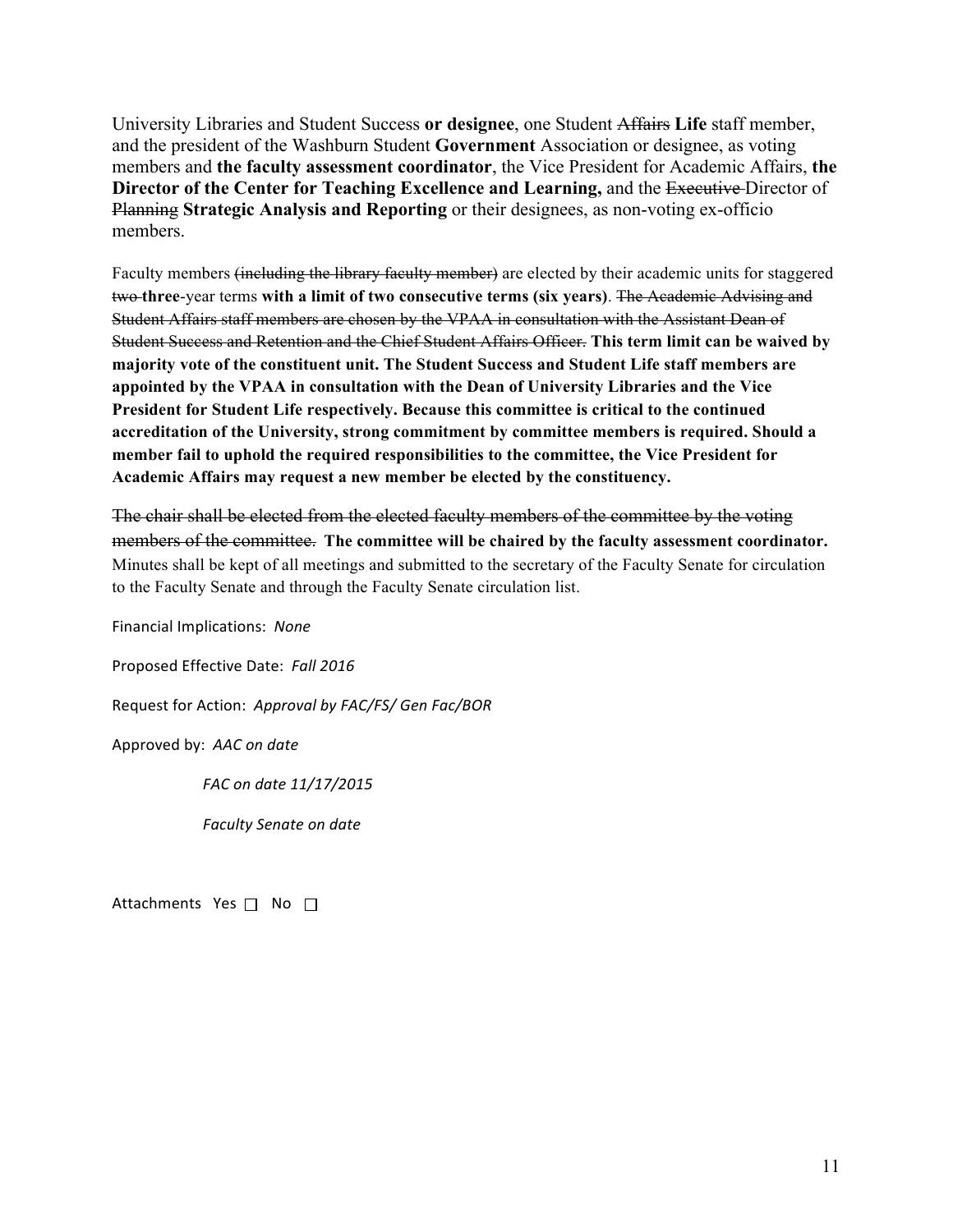University Libraries and Student Success **or designee**, one Student Affairs **Life** staff member, and the president of the Washburn Student **Government** Association or designee, as voting members and **the faculty assessment coordinator**, the Vice President for Academic Affairs, **the Director of the Center for Teaching Excellence and Learning, and the Executive Director of** Planning **Strategic Analysis and Reporting** or their designees, as non-voting ex-officio members.

Faculty members (including the library faculty member) are elected by their academic units for staggered two **three**-year terms **with a limit of two consecutive terms (six years)**. The Academic Advising and Student Affairs staff members are chosen by the VPAA in consultation with the Assistant Dean of Student Success and Retention and the Chief Student Affairs Officer. **This term limit can be waived by majority vote of the constituent unit. The Student Success and Student Life staff members are appointed by the VPAA in consultation with the Dean of University Libraries and the Vice President for Student Life respectively. Because this committee is critical to the continued accreditation of the University, strong commitment by committee members is required. Should a member fail to uphold the required responsibilities to the committee, the Vice President for Academic Affairs may request a new member be elected by the constituency.**

The chair shall be elected from the elected faculty members of the committee by the voting members of the committee. The committee will be chaired by the faculty assessment coordinator. Minutes shall be kept of all meetings and submitted to the secretary of the Faculty Senate for circulation to the Faculty Senate and through the Faculty Senate circulation list.

Financial Implications: *None*

Proposed Effective Date: Fall 2016

Request for Action: Approval by FAC/FS/ Gen Fac/BOR

Approved by: AAC on date

 *FAC on date 11/17/2015*

*Faculty Senate on date* 

Attachments Yes  $\Box$  No  $\Box$